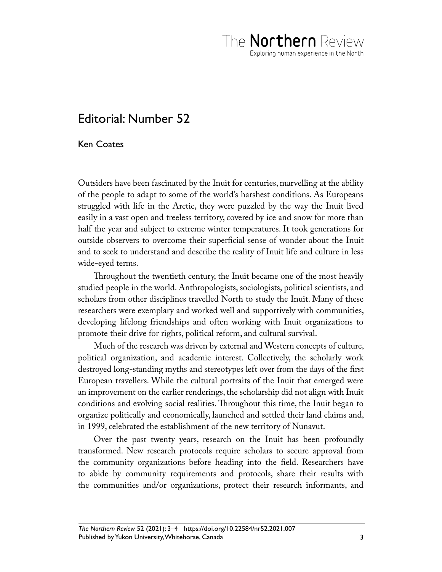

## Editorial: Number 52

## Ken Coates

Outsiders have been fascinated by the Inuit for centuries, marvelling at the ability of the people to adapt to some of the world's harshest conditions. As Europeans struggled with life in the Arctic, they were puzzled by the way the Inuit lived easily in a vast open and treeless territory, covered by ice and snow for more than half the year and subject to extreme winter temperatures. It took generations for outside observers to overcome their superficial sense of wonder about the Inuit and to seek to understand and describe the reality of Inuit life and culture in less wide-eyed terms.

Throughout the twentieth century, the Inuit became one of the most heavily studied people in the world. Anthropologists, sociologists, political scientists, and scholars from other disciplines travelled North to study the Inuit. Many of these researchers were exemplary and worked well and supportively with communities, developing lifelong friendships and often working with Inuit organizations to promote their drive for rights, political reform, and cultural survival.

Much of the research was driven by external and Western concepts of culture, political organization, and academic interest. Collectively, the scholarly work destroyed long-standing myths and stereotypes left over from the days of the first European travellers. While the cultural portraits of the Inuit that emerged were an improvement on the earlier renderings, the scholarship did not align with Inuit conditions and evolving social realities. Throughout this time, the Inuit began to organize politically and economically, launched and settled their land claims and, in 1999, celebrated the establishment of the new territory of Nunavut.

Over the past twenty years, research on the Inuit has been profoundly transformed. New research protocols require scholars to secure approval from the community organizations before heading into the field. Researchers have to abide by community requirements and protocols, share their results with the communities and/or organizations, protect their research informants, and